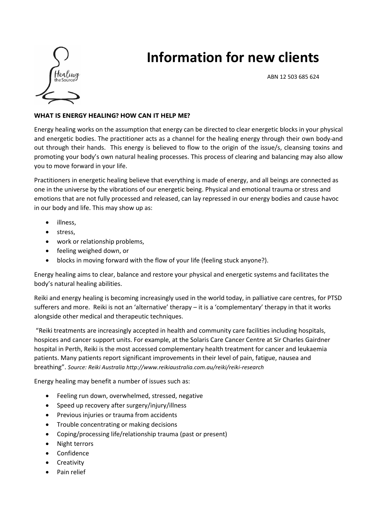

# **Information for new clients**

ABN 12 503 685 624

## **WHAT IS ENERGY HEALING? HOW CAN IT HELP ME?**

Energy healing works on the assumption that energy can be directed to clear energetic blocks in your physical and energetic bodies. The practitioner acts as a channel for the healing energy through their own body-and out through their hands. This energy is believed to flow to the origin of the issue/s, cleansing toxins and promoting your body's own natural healing processes. This process of clearing and balancing may also allow you to move forward in your life.

Practitioners in energetic healing believe that everything is made of energy, and all beings are connected as one in the universe by the vibrations of our energetic being. Physical and emotional trauma or stress and emotions that are not fully processed and released, can lay repressed in our energy bodies and cause havoc in our body and life. This may show up as:

- illness,
- stress,
- work or relationship problems.
- feeling weighed down, or
- blocks in moving forward with the flow of your life (feeling stuck anyone?).

Energy healing aims to clear, balance and restore your physical and energetic systems and facilitates the body's natural healing abilities.

Reiki and energy healing is becoming increasingly used in the world today, in palliative care centres, for PTSD sufferers and more. Reiki is not an 'alternative' therapy – it is a 'complementary' therapy in that it works alongside other medical and therapeutic techniques.

"Reiki treatments are increasingly accepted in health and community care facilities including hospitals, hospices and cancer support units. For example, at the Solaris Care Cancer Centre at Sir Charles Gairdner hospital in Perth, Reiki is the most accessed complementary health treatment for cancer and leukaemia patients. Many patients report significant improvements in their level of pain, fatigue, nausea and breathing". *Source: Reiki Australia <http://www.reikiaustralia.com.au/reiki/reiki-research>*

Energy healing may benefit a number of issues such as:

- Feeling run down, overwhelmed, stressed, negative
- Speed up recovery after surgery/injury/illness
- Previous injuries or trauma from accidents
- Trouble concentrating or making decisions
- Coping/processing life/relationship trauma (past or present)
- Night terrors
- Confidence
- Creativity
- Pain relief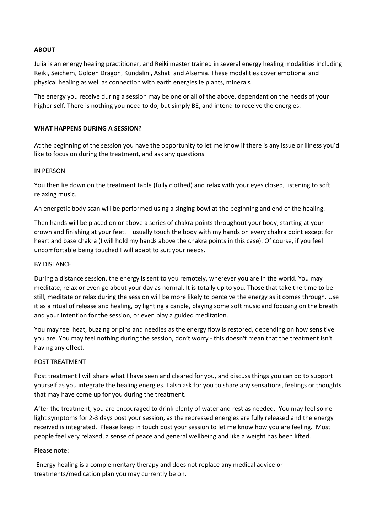#### **ABOUT**

Julia is an energy healing practitioner, and Reiki master trained in several energy healing modalities including Reiki, Seichem, Golden Dragon, Kundalini, Ashati and Alsemia. These modalities cover emotional and physical healing as well as connection with earth energies ie plants, minerals

The energy you receive during a session may be one or all of the above, dependant on the needs of your higher self. There is nothing you need to do, but simply BE, and intend to receive the energies.

### **WHAT HAPPENS DURING A SESSION?**

At the beginning of the session you have the opportunity to let me know if there is any issue or illness you'd like to focus on during the treatment, and ask any questions.

#### IN PERSON

You then lie down on the treatment table (fully clothed) and relax with your eyes closed, listening to soft relaxing music.

An energetic body scan will be performed using a singing bowl at the beginning and end of the healing.

Then hands will be placed on or above a series of chakra points throughout your body, starting at your crown and finishing at your feet. I usually touch the body with my hands on every chakra point except for heart and base chakra (I will hold my hands above the chakra points in this case). Of course, if you feel uncomfortable being touched I will adapt to suit your needs.

#### BY DISTANCE

During a distance session, the energy is sent to you remotely, wherever you are in the world. You may meditate, relax or even go about your day as normal. It is totally up to you. Those that take the time to be still, meditate or relax during the session will be more likely to perceive the energy as it comes through. Use it as a ritual of release and healing, by lighting a candle, playing some soft music and focusing on the breath and your intention for the session, or even play a guided meditation.

You may feel heat, buzzing or pins and needles as the energy flow is restored, depending on how sensitive you are. You may feel nothing during the session, don't worry - this doesn't mean that the treatment isn't having any effect.

#### POST TREATMENT

Post treatment I will share what I have seen and cleared for you, and discuss things you can do to support yourself as you integrate the healing energies. I also ask for you to share any sensations, feelings or thoughts that may have come up for you during the treatment.

After the treatment, you are encouraged to drink plenty of water and rest as needed. You may feel some light symptoms for 2-3 days post your session, as the repressed energies are fully released and the energy received is integrated. Please keep in touch post your session to let me know how you are feeling. Most people feel very relaxed, a sense of peace and general wellbeing and like a weight has been lifted.

#### Please note:

-Energy healing is a complementary therapy and does not replace any medical advice or treatments/medication plan you may currently be on.